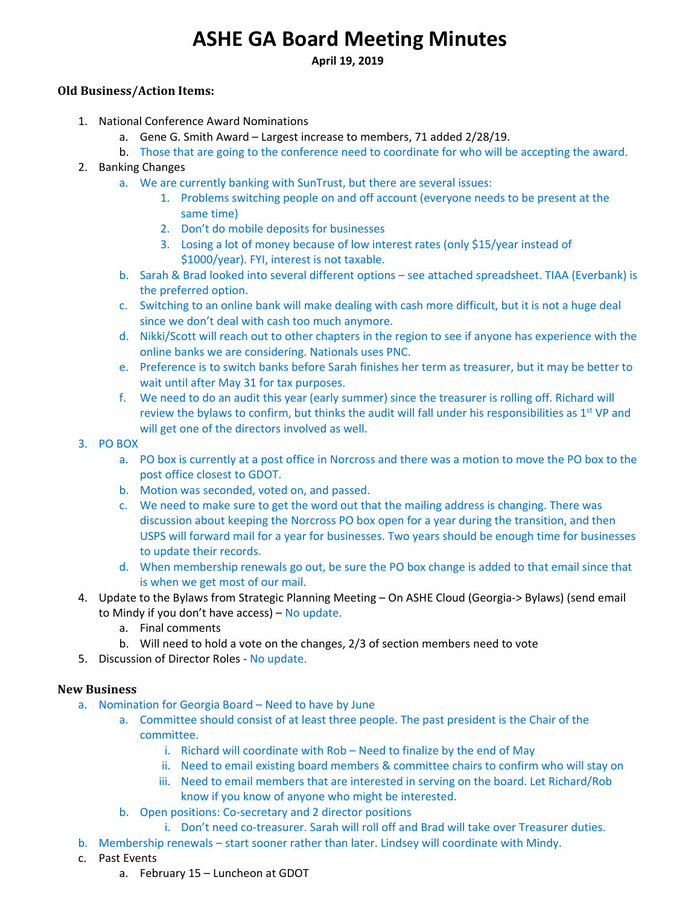# **ASHE GA Board Meeting Minutes**

**April 19, 2019** 

## **Old Business/Action Items:**

- 1. National Conference Award Nominations
	- a. Gene G. Smith Award Largest increase to members, 71 added 2/28/19.
	- b. Those that are going to the conference need to coordinate for who will be accepting the award.
- 2. Banking Changes
	- a. We are currently banking with SunTrust, but there are several issues:
		- 1. Problems switching people on and off account (everyone needs to be present at the same time)
		- 2. Don't do mobile deposits for businesses
		- 3. Losing a lot of money because of low interest rates (only \$15/year instead of \$1000/year). FYI, interest is not taxable.
	- b. Sarah & Brad looked into several different options see attached spreadsheet. TIAA (Everbank) is the preferred option.
	- c. Switching to an online bank will make dealing with cash more difficult, but it is not a huge deal since we don't deal with cash too much anymore.
	- d. Nikki/Scott will reach out to other chapters in the region to see if anyone has experience with the online banks we are considering. Nationals uses PNC.
	- e. Preference is to switch banks before Sarah finishes her term as treasurer, but it may be better to wait until after May 31 for tax purposes.
	- f. We need to do an audit this year (early summer) since the treasurer is rolling off. Richard will review the bylaws to confirm, but thinks the audit will fall under his responsibilities as 1<sup>st</sup> VP and will get one of the directors involved as well.
- 3. PO BOX
	- a. PO box is currently at a post office in Norcross and there was a motion to move the PO box to the post office closest to GDOT.
	- b. Motion was seconded, voted on, and passed.
	- c. We need to make sure to get the word out that the mailing address is changing. There was discussion about keeping the Norcross PO box open for a year during the transition, and then USPS will forward mail for a year for businesses. Two years should be enough time for businesses to update their records.
	- d. When membership renewals go out, be sure the PO box change is added to that email since that is when we get most of our mail.
- 4. Update to the Bylaws from Strategic Planning Meeting On ASHE Cloud (Georgia‐> Bylaws) (send email to Mindy if you don't have access) – No update.
	- a. Final comments
	- b. Will need to hold a vote on the changes, 2/3 of section members need to vote
- 5. Discussion of Director Roles No update.

## **New Business**

- a. Nomination for Georgia Board Need to have by June
	- a. Committee should consist of at least three people. The past president is the Chair of the committee.
		- i. Richard will coordinate with Rob Need to finalize by the end of May
		- ii. Need to email existing board members & committee chairs to confirm who will stay on
		- iii. Need to email members that are interested in serving on the board. Let Richard/Rob know if you know of anyone who might be interested.
	- b. Open positions: Co‐secretary and 2 director positions
	- i. Don't need co-treasurer. Sarah will roll off and Brad will take over Treasurer duties.
- b. Membership renewals start sooner rather than later. Lindsey will coordinate with Mindy.
- c. Past Events
	- a. February 15 Luncheon at GDOT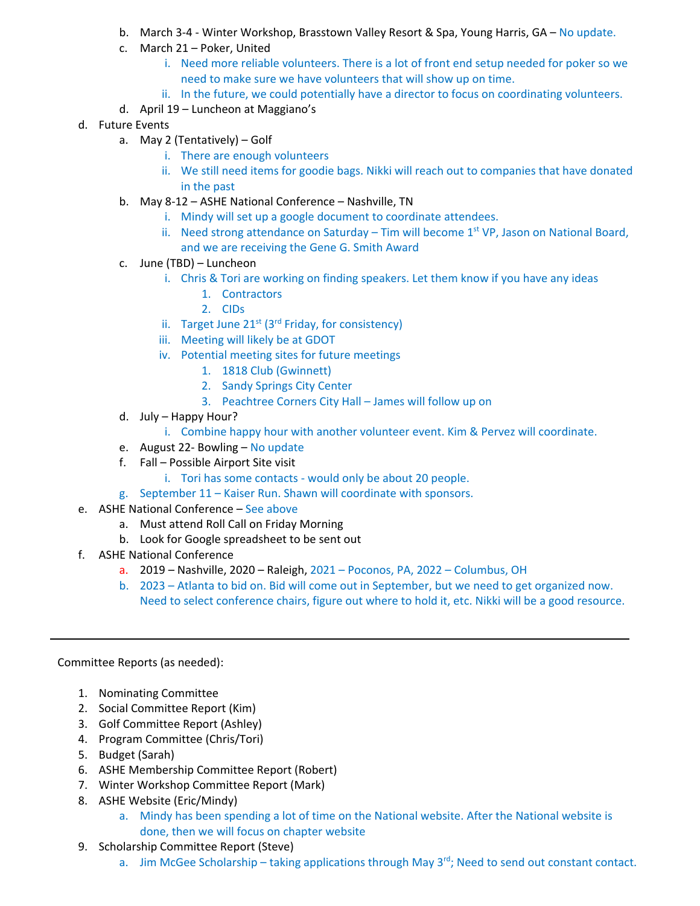- b. March 3‐4 ‐ Winter Workshop, Brasstown Valley Resort & Spa, Young Harris, GA No update.
- c. March 21 Poker, United
	- i. Need more reliable volunteers. There is a lot of front end setup needed for poker so we need to make sure we have volunteers that will show up on time.
	- ii. In the future, we could potentially have a director to focus on coordinating volunteers.
- d. April 19 Luncheon at Maggiano's
- d. Future Events
	- a. May 2 (Tentatively) Golf
		- i. There are enough volunteers
		- ii. We still need items for goodie bags. Nikki will reach out to companies that have donated in the past
	- b. May 8‐12 ASHE National Conference Nashville, TN
		- i. Mindy will set up a google document to coordinate attendees.
		- ii. Need strong attendance on Saturday Tim will become  $1<sup>st</sup>$  VP, Jason on National Board, and we are receiving the Gene G. Smith Award
	- c. June (TBD) Luncheon
		- i. Chris & Tori are working on finding speakers. Let them know if you have any ideas
			- 1. Contractors
			- 2. CIDs
		- ii. Target June  $21^{st}$  (3<sup>rd</sup> Friday, for consistency)
		- iii. Meeting will likely be at GDOT
		- iv. Potential meeting sites for future meetings
			- 1. 1818 Club (Gwinnett)
			- 2. Sandy Springs City Center
			- 3. Peachtree Corners City Hall James will follow up on
	- d. July Happy Hour?
		- i. Combine happy hour with another volunteer event. Kim & Pervez will coordinate.
	- e. August 22‐ Bowling No update
	- f. Fall Possible Airport Site visit
		- i. Tori has some contacts would only be about 20 people.
	- g. September 11 Kaiser Run. Shawn will coordinate with sponsors.
- e. ASHE National Conference See above
	- a. Must attend Roll Call on Friday Morning
	- b. Look for Google spreadsheet to be sent out
- f. ASHE National Conference
	- a. 2019 Nashville, 2020 Raleigh, 2021 Poconos, PA, 2022 Columbus, OH
	- b. 2023 Atlanta to bid on. Bid will come out in September, but we need to get organized now. Need to select conference chairs, figure out where to hold it, etc. Nikki will be a good resource.

Committee Reports (as needed):

- 1. Nominating Committee
- 2. Social Committee Report (Kim)
- 3. Golf Committee Report (Ashley)
- 4. Program Committee (Chris/Tori)
- 5. Budget (Sarah)
- 6. ASHE Membership Committee Report (Robert)
- 7. Winter Workshop Committee Report (Mark)
- 8. ASHE Website (Eric/Mindy)
	- a. Mindy has been spending a lot of time on the National website. After the National website is done, then we will focus on chapter website
- 9. Scholarship Committee Report (Steve)
	- a. Jim McGee Scholarship taking applications through May  $3^{rd}$ ; Need to send out constant contact.